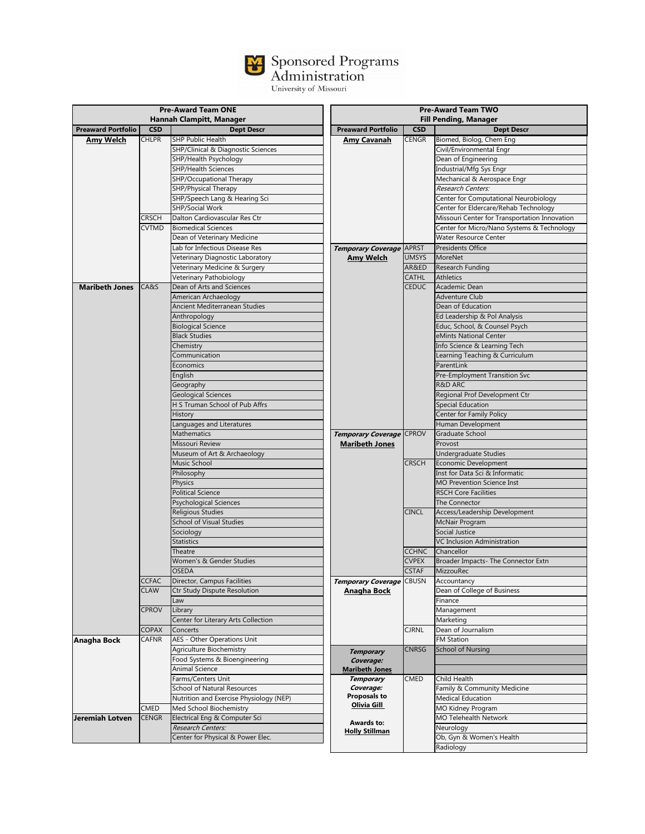## Sponsored Programs<br>Administration<br><sub>University of Missouri</sub>

| <b>Pre-Award Team ONE</b> |              | <b>Pre-Award Team TWO</b>               |                                   |              |                                               |
|---------------------------|--------------|-----------------------------------------|-----------------------------------|--------------|-----------------------------------------------|
|                           |              | Hannah Clampitt, Manager                |                                   |              | <b>Fill Pending, Manager</b>                  |
| <b>Preaward Portfolio</b> | <b>CSD</b>   | <b>Dept Descr</b>                       | <b>Preaward Portfolio</b>         | <b>CSD</b>   | <b>Dept Descr</b>                             |
| Amy Welch                 | <b>CHLPR</b> | <b>SHP Public Health</b>                | Amy Cavanah                       | <b>CENGR</b> | Biomed, Biolog, Chem Eng                      |
|                           |              | SHP/Clinical & Diagnostic Sciences      |                                   |              | Civil/Environmental Engr                      |
|                           |              | SHP/Health Psychology                   |                                   |              | Dean of Engineering                           |
|                           |              | <b>SHP/Health Sciences</b>              |                                   |              | Industrial/Mfg Sys Engr                       |
|                           |              | SHP/Occupational Therapy                |                                   |              | Mechanical & Aerospace Engr                   |
|                           |              | SHP/Physical Therapy                    |                                   |              | Research Centers:                             |
|                           |              | SHP/Speech Lang & Hearing Sci           |                                   |              | Center for Computational Neurobiology         |
|                           |              | SHP/Social Work                         |                                   |              | Center for Eldercare/Rehab Technology         |
|                           | <b>CRSCH</b> | Dalton Cardiovascular Res Ctr           |                                   |              | Missouri Center for Transportation Innovation |
|                           | <b>CVTMD</b> | <b>Biomedical Sciences</b>              |                                   |              | Center for Micro/Nano Systems & Technology    |
|                           |              | Dean of Veterinary Medicine             |                                   |              | Water Resource Center                         |
|                           |              | Lab for Infectious Disease Res          | Temporary Coverage                | <b>APRST</b> | Presidents Office                             |
|                           |              | Veterinary Diagnostic Laboratory        |                                   | <b>UMSYS</b> | MoreNet                                       |
|                           |              |                                         | <b>Amy Welch</b>                  | AR&ED        |                                               |
|                           |              | Veterinary Medicine & Surgery           |                                   | <b>CATHL</b> | Research Funding                              |
|                           |              | Veterinary Pathobiology                 |                                   |              | <b>Athletics</b>                              |
| <b>Maribeth Jones</b>     | CA&S         | Dean of Arts and Sciences               |                                   | <b>CEDUC</b> | Academic Dean                                 |
|                           |              | American Archaeology                    |                                   |              | <b>Adventure Club</b>                         |
|                           |              | Ancient Mediterranean Studies           |                                   |              | Dean of Education                             |
|                           |              | Anthropology                            |                                   |              | Ed Leadership & Pol Analysis                  |
|                           |              | <b>Biological Science</b>               |                                   |              | Educ, School, & Counsel Psych                 |
|                           |              | <b>Black Studies</b>                    |                                   |              | eMints National Center                        |
|                           |              | Chemistry                               |                                   |              | Info Science & Learning Tech                  |
|                           |              | Communication                           |                                   |              | Learning Teaching & Curriculum                |
|                           |              | Economics                               |                                   |              | ParentLink                                    |
|                           |              | English                                 |                                   |              | Pre-Employment Transition Svc                 |
|                           |              | Geography                               |                                   |              | <b>R&amp;D ARC</b>                            |
|                           |              | <b>Geological Sciences</b>              |                                   |              | Regional Prof Development Ctr                 |
|                           |              | H S Truman School of Pub Affrs          |                                   |              | Special Education                             |
|                           |              | History                                 |                                   |              | Center for Family Policy                      |
|                           |              | anguages and Literatures                |                                   |              | Human Development                             |
|                           |              | <b>Mathematics</b>                      | Temporary Coverage CPROV          |              | Graduate School                               |
|                           |              | Missouri Review                         | <b>Maribeth Jones</b>             |              | Provost                                       |
|                           |              |                                         |                                   |              |                                               |
|                           |              | Museum of Art & Archaeology             |                                   |              | Undergraduate Studies                         |
|                           |              | Music School                            |                                   | <b>CRSCH</b> | Economic Development                          |
|                           |              | Philosophy                              |                                   |              | Inst for Data Sci & Informatic                |
|                           |              | Physics                                 |                                   |              | <b>MO Prevention Science Inst</b>             |
|                           |              | <b>Political Science</b>                |                                   |              | <b>RSCH Core Facilities</b>                   |
|                           |              | <b>Psychological Sciences</b>           |                                   |              | The Connector                                 |
|                           |              | <b>Religious Studies</b>                |                                   | <b>CINCL</b> | Access/Leadership Development                 |
|                           |              | School of Visual Studies                |                                   |              | McNair Program                                |
|                           |              | Sociology                               |                                   |              | Social Justice                                |
|                           |              | <b>Statistics</b>                       |                                   |              | <b>VC Inclusion Administration</b>            |
|                           |              | Theatre                                 |                                   | <b>CCHNC</b> | Chancellor                                    |
|                           |              | Women's & Gender Studies                |                                   | <b>CVPEX</b> | Broader Impacts- The Connector Extn           |
|                           |              | <b>OSEDA</b>                            |                                   | <b>CSTAF</b> | <b>MizzouRec</b>                              |
|                           | CCFAC        | Director, Campus Facilities             | <i>Temporary Coverage</i>   CBUSN |              | Accountancy                                   |
|                           | <b>CLAW</b>  | Ctr Study Dispute Resolution            | Anagha Bock                       |              | Dean of College of Business                   |
|                           |              | Law                                     |                                   |              | Finance                                       |
|                           | <b>CPROV</b> | Library                                 |                                   |              |                                               |
|                           |              | Center for Literary Arts Collection     |                                   |              | Management<br>Marketing                       |
|                           |              |                                         |                                   |              |                                               |
|                           | <b>COPAX</b> | Concerts                                |                                   | <b>CJRNL</b> | Dean of Journalism                            |
| Anagha Bock               | CAFNR        | AES - Other Operations Unit             |                                   |              | FM Station                                    |
|                           |              | Agriculture Biochemistry                | <b>Temporary</b>                  | <b>CNRSG</b> | School of Nursing                             |
|                           |              | Food Systems & Bioengineering           | Coverage:                         |              |                                               |
|                           |              | Animal Science                          | <b>Maribeth Jones</b>             |              |                                               |
|                           |              | Farms/Centers Unit                      | <b>Temporary</b>                  | CMED         | Child Health                                  |
|                           |              | School of Natural Resources             | Coverage:                         |              | Family & Community Medicine                   |
|                           |              | Nutrition and Exercise Physiology (NEP) | Proposals to                      |              | <b>Medical Education</b>                      |
|                           | CMED         | Med School Biochemistry                 | Olivia Gill                       |              | MO Kidney Program                             |
| Jeremiah Lotven           | <b>CENGR</b> | Electrical Eng & Computer Sci           |                                   |              | MO Telehealth Network                         |
|                           |              | Research Centers:                       | Awards to:                        |              | Neurology                                     |
|                           |              | Center for Physical & Power Elec.       | <b>Holly Stillman</b>             |              | Ob, Gyn & Women's Health                      |
|                           |              |                                         |                                   |              | Radiology                                     |